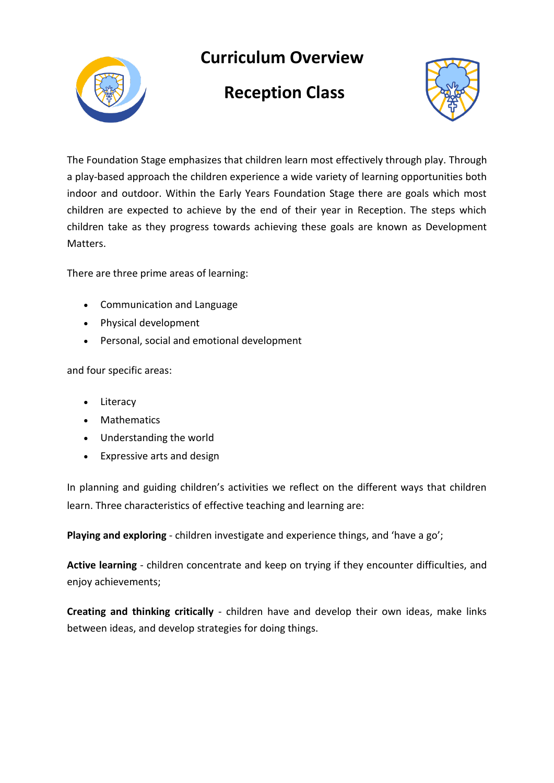

## **Curriculum Overview**

## **Reception Class**



The Foundation Stage emphasizes that children learn most effectively through play. Through a play-based approach the children experience a wide variety of learning opportunities both indoor and outdoor. Within the Early Years Foundation Stage there are goals which most children are expected to achieve by the end of their year in Reception. The steps which children take as they progress towards achieving these goals are known as Development Matters.

There are three prime areas of learning:

- Communication and Language
- Physical development
- Personal, social and emotional development

and four specific areas:

- Literacy
- Mathematics
- Understanding the world
- Expressive arts and design

In planning and guiding children's activities we reflect on the different ways that children learn. Three characteristics of effective teaching and learning are:

**Playing and exploring** - children investigate and experience things, and 'have a go';

**Active learning** - children concentrate and keep on trying if they encounter difficulties, and enjoy achievements;

**Creating and thinking critically** - children have and develop their own ideas, make links between ideas, and develop strategies for doing things.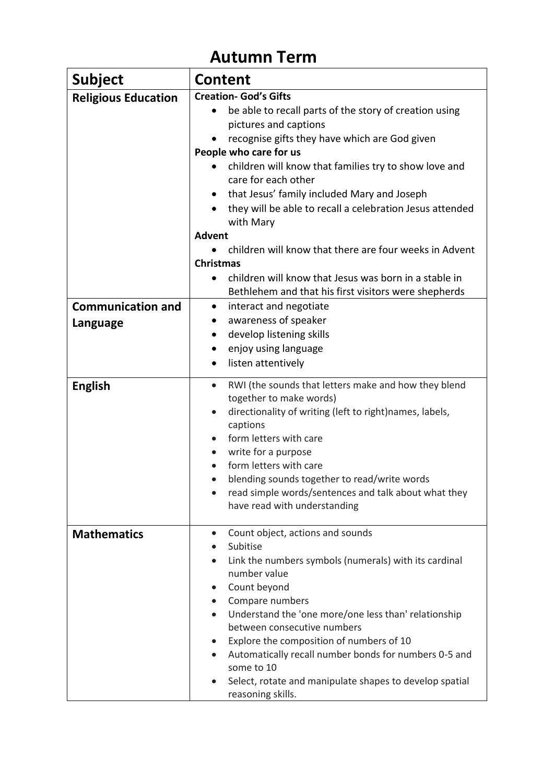## **Autumn Term**

| <b>Subject</b>                       | <b>Content</b>                                                                                                                                                                                                                                                                                                                                                                                                                                                                                         |  |
|--------------------------------------|--------------------------------------------------------------------------------------------------------------------------------------------------------------------------------------------------------------------------------------------------------------------------------------------------------------------------------------------------------------------------------------------------------------------------------------------------------------------------------------------------------|--|
| <b>Religious Education</b>           | <b>Creation- God's Gifts</b><br>be able to recall parts of the story of creation using<br>$\bullet$<br>pictures and captions<br>recognise gifts they have which are God given<br>People who care for us<br>children will know that families try to show love and<br>care for each other<br>that Jesus' family included Mary and Joseph<br>$\bullet$<br>they will be able to recall a celebration Jesus attended<br>with Mary<br><b>Advent</b>                                                          |  |
|                                      | children will know that there are four weeks in Advent<br><b>Christmas</b><br>children will know that Jesus was born in a stable in<br>$\bullet$<br>Bethlehem and that his first visitors were shepherds                                                                                                                                                                                                                                                                                               |  |
| <b>Communication and</b><br>Language | interact and negotiate<br>$\bullet$<br>awareness of speaker<br>develop listening skills<br>٠<br>enjoy using language<br>$\bullet$<br>listen attentively<br>$\bullet$                                                                                                                                                                                                                                                                                                                                   |  |
| <b>English</b>                       | RWI (the sounds that letters make and how they blend<br>$\bullet$<br>together to make words)<br>directionality of writing (left to right)names, labels,<br>$\bullet$<br>captions<br>form letters with care<br>$\bullet$<br>write for a purpose<br>$\bullet$<br>form letters with care<br>blending sounds together to read/write words<br>read simple words/sentences and talk about what they<br>have read with understanding                                                                          |  |
| <b>Mathematics</b>                   | Count object, actions and sounds<br>$\bullet$<br>Subitise<br>Link the numbers symbols (numerals) with its cardinal<br>number value<br>Count beyond<br>$\bullet$<br>Compare numbers<br>$\bullet$<br>Understand the 'one more/one less than' relationship<br>between consecutive numbers<br>Explore the composition of numbers of 10<br>Automatically recall number bonds for numbers 0-5 and<br>$\bullet$<br>some to 10<br>Select, rotate and manipulate shapes to develop spatial<br>reasoning skills. |  |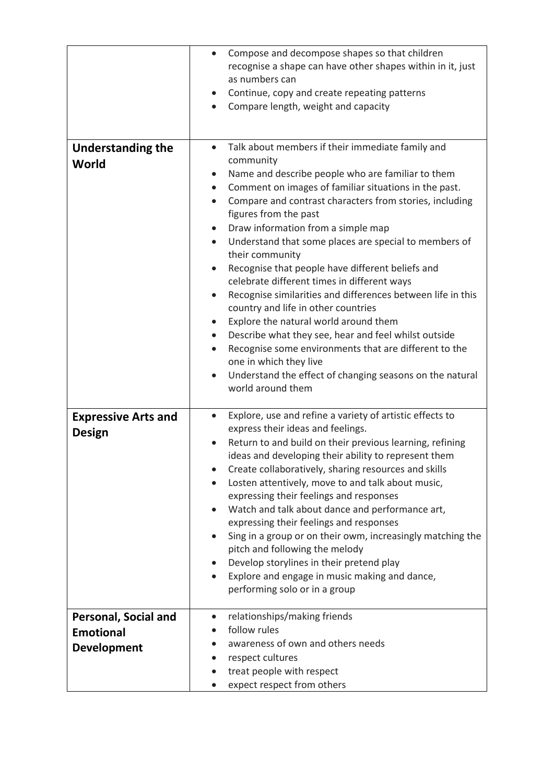|                                                                       | Compose and decompose shapes so that children<br>$\bullet$<br>recognise a shape can have other shapes within in it, just<br>as numbers can<br>Continue, copy and create repeating patterns<br>$\bullet$<br>Compare length, weight and capacity<br>$\bullet$                                                                                                                                                                                                                                                                                                                                                                                                                                                                                                                                                                                                                                                                                                                                       |
|-----------------------------------------------------------------------|---------------------------------------------------------------------------------------------------------------------------------------------------------------------------------------------------------------------------------------------------------------------------------------------------------------------------------------------------------------------------------------------------------------------------------------------------------------------------------------------------------------------------------------------------------------------------------------------------------------------------------------------------------------------------------------------------------------------------------------------------------------------------------------------------------------------------------------------------------------------------------------------------------------------------------------------------------------------------------------------------|
| <b>Understanding the</b><br>World                                     | Talk about members if their immediate family and<br>$\bullet$<br>community<br>Name and describe people who are familiar to them<br>$\bullet$<br>Comment on images of familiar situations in the past.<br>$\bullet$<br>Compare and contrast characters from stories, including<br>$\bullet$<br>figures from the past<br>Draw information from a simple map<br>Understand that some places are special to members of<br>$\bullet$<br>their community<br>Recognise that people have different beliefs and<br>$\bullet$<br>celebrate different times in different ways<br>Recognise similarities and differences between life in this<br>country and life in other countries<br>Explore the natural world around them<br>$\bullet$<br>Describe what they see, hear and feel whilst outside<br>$\bullet$<br>Recognise some environments that are different to the<br>$\bullet$<br>one in which they live<br>Understand the effect of changing seasons on the natural<br>$\bullet$<br>world around them |
| <b>Expressive Arts and</b><br><b>Design</b>                           | Explore, use and refine a variety of artistic effects to<br>$\bullet$<br>express their ideas and feelings.<br>Return to and build on their previous learning, refining<br>ideas and developing their ability to represent them<br>Create collaboratively, sharing resources and skills<br>Losten attentively, move to and talk about music,<br>$\bullet$<br>expressing their feelings and responses<br>Watch and talk about dance and performance art,<br>$\bullet$<br>expressing their feelings and responses<br>Sing in a group or on their owm, increasingly matching the<br>pitch and following the melody<br>Develop storylines in their pretend play<br>Explore and engage in music making and dance,<br>$\bullet$<br>performing solo or in a group                                                                                                                                                                                                                                         |
| <b>Personal, Social and</b><br><b>Emotional</b><br><b>Development</b> | relationships/making friends<br>$\bullet$<br>follow rules<br>awareness of own and others needs<br>respect cultures<br>treat people with respect<br>expect respect from others                                                                                                                                                                                                                                                                                                                                                                                                                                                                                                                                                                                                                                                                                                                                                                                                                     |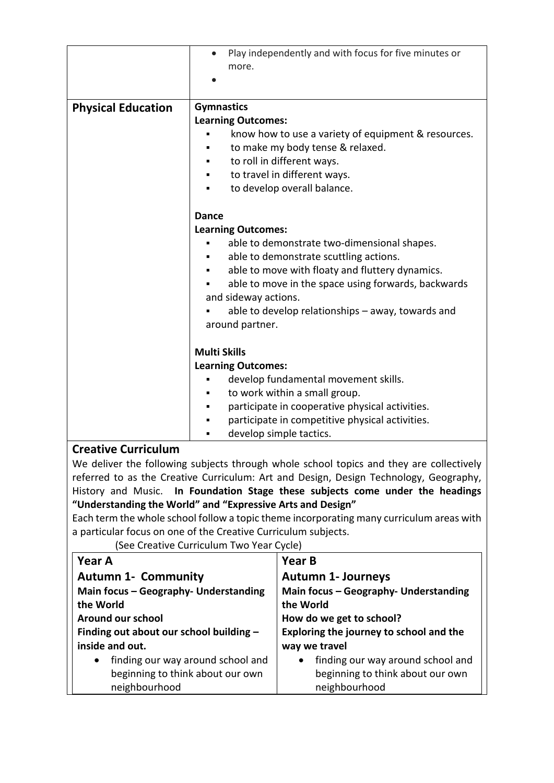|                            | Play independently and with focus for five minutes or<br>more.                                                                                                                                                                                                                                                                               |  |
|----------------------------|----------------------------------------------------------------------------------------------------------------------------------------------------------------------------------------------------------------------------------------------------------------------------------------------------------------------------------------------|--|
| <b>Physical Education</b>  | <b>Gymnastics</b><br><b>Learning Outcomes:</b><br>know how to use a variety of equipment & resources.<br>to make my body tense & relaxed.<br>to roll in different ways.<br>to travel in different ways.<br>to develop overall balance.                                                                                                       |  |
|                            | <b>Dance</b><br><b>Learning Outcomes:</b><br>able to demonstrate two-dimensional shapes.<br>able to demonstrate scuttling actions.<br>able to move with floaty and fluttery dynamics.<br>able to move in the space using forwards, backwards<br>and sideway actions.<br>able to develop relationships - away, towards and<br>around partner. |  |
|                            | <b>Multi Skills</b><br><b>Learning Outcomes:</b><br>develop fundamental movement skills.<br>to work within a small group.<br>participate in cooperative physical activities.<br>٠<br>participate in competitive physical activities.<br>٠<br>develop simple tactics.<br>٠                                                                    |  |
| <b>Creative Curriculum</b> |                                                                                                                                                                                                                                                                                                                                              |  |

We deliver the following subjects through whole school topics and they are collectively referred to as the Creative Curriculum: Art and Design, Design Technology, Geography, History and Music. **In Foundation Stage these subjects come under the headings "Understanding the World" and "Expressive Arts and Design"**

Each term the whole school follow a topic theme incorporating many curriculum areas with a particular focus on one of the Creative Curriculum subjects.

(See Creative Curriculum Two Year Cycle)

| <b>Year A</b>                                  | <b>Year B</b>                                  |
|------------------------------------------------|------------------------------------------------|
| <b>Autumn 1- Community</b>                     | <b>Autumn 1- Journeys</b>                      |
| Main focus - Geography- Understanding          | Main focus - Geography- Understanding          |
| the World                                      | the World                                      |
| Around our school                              | How do we get to school?                       |
| Finding out about our school building -        | Exploring the journey to school and the        |
| inside and out.                                | way we travel                                  |
| finding our way around school and<br>$\bullet$ | finding our way around school and<br>$\bullet$ |
| beginning to think about our own               | beginning to think about our own               |
| neighbourhood                                  | neighbourhood                                  |